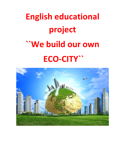# **English educational project ``We build our own ECO-CITY``**

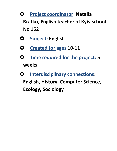- **Project coordinator: Natalia Bratko, English teacher of Kyiv school No 152**
- **Subject: English**
- **Created for ages 10-11**
- **Time required for the project: 5 weeks**
- **O** Interdisciplinary connections: **English, History, Computer Science, Ecology, Sociology**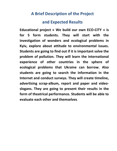#### **A Brief Description of the Project**

#### **and Expected Results**

**Educational project « We build our own ECO-CITY » is for 5 form students. They will start with the investigation of wonders and ecological problems in Kyiv, explore about attitude to environmental issues. Students are going to find out if it is important solve the problem of pollution. They will learn the international experience of other countries in the sphere of ecological problems that Ukraine can borrow. Also students are going to search the information in the Internet and conduct surveys. They will create timeline, advertising scrap-album, report and paper and videoslogans. They are going to present their results in the form of theatrical performance. Students will be able to evaluate each other and themselves.**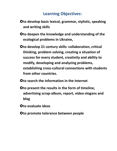#### **Learning Objectives:**

- **Oto develop basic lexical, grammar, stylistic, speaking and writing skills**
- **Oto deepen the knowledge and understanding of the ecological problems in Ukraine,**
- **Oto develop 21 century skills: collaboration, critical thinking, problem solving, creating a situation of success for every student, creativity and ability to modify, developing and analyzing problems, establishing cross-cultural connections with students from other countries.**
- **O** to search the information in the Internet
- **O** to present the results in the form of timeline, **advertising scrap-album, report, video-slogans and blog**
- **to evaluate ideas**
- **Oto promote tolerance between people**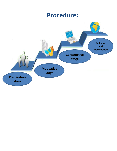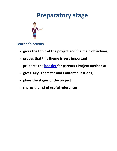#### **Preparatory stage**



**Teacher`s activity**

- **gives the topic of the project and the main objectives,**
- **proves that this theme is very important**
- **prepares the [booklet](http://www.tutorialspoint.com/management_concepts/project_management_methodologies.htm) for parents «Project methods»**
- **gives Key, Thematic and Content questions,**
- **plans the stages of the project**
- **shares the list of useful references**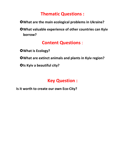#### **Thematic Questions :**

- **What are the main ecological problems in Ukraine?**
- **What valuable experience of other countries can Kyiv borrow?**

#### **Content Questions** :

- **What is Ecology?**
- **What are extinct animals and plants in Kyiv region?**
- **OIs Kyiv a beautiful city?**

#### **Key Question :**

**Is it worth to create our own Eco-City?**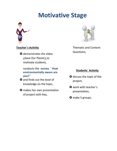### **Motivative Stage**



#### **Teacher`s Activity**

**O** demonstrates the video [«](https://www.youtube.com/watch?v=LYSFlLpXqc8)Save Our Planet[»](https://www.youtube.com/watch?v=LYSFlLpXqc8) [t](https://www.youtube.com/watch?v=LYSFlLpXqc8)o motivate students,

conducts the **[survey](http://learningapps.org/1931851)** [``](http://learningapps.org/1931851) **How environmentally aware are you?``**

- **O** and finds out the level of knowledge on the topic,
- **O** makes her own presentation of project with Key,



Thematic and Content Questions,

#### **Students` Activity**

- **O** discuss the topic of the project,
- O work with teacher's presentation,
- O make 5 groups.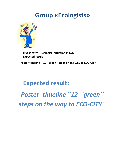#### **Group «Ecologists»**



- **investigates ``Ecological situation in Kyiv ``**
- **Expected result:**

**Poster-timeline ``12 ``green`` steps on the way to ECO-CITY``**

### **Expected result:**

*Poster- timeline``12 ``green`` steps on the way to ECO-CITY``*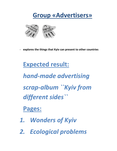## **Group «Advertisers»**



- **explores the things that Kyiv can present to other countries**

## **Expected result:**

*hand-made advertising scrap-album ``Kyiv from different sides``*

#### **Pages:**

- *1. Wonders of Kyiv*
- *2. Ecological problems*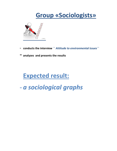### **Group «Sociologists»**



- **conducts the interview** *`` Attitude to environmental issues``*
- **analyzes and presents the results**

## **Expected result:**

- *a sociological graphs*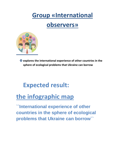## **Group «International**

#### **observers»**



 **explores the international experience of other countries in the sphere of ecological problems that Ukraine can borrow**

## **Expected result:**

## **[the i](http://ukr.segodnya.ua/economics/enews/kakie-strany-bolshe-vseh-pomogayut-ukraine-infografika-555874.html)nfographic [map](http://ukr.segodnya.ua/economics/enews/kakie-strany-bolshe-vseh-pomogayut-ukraine-infografika-555874.html)**

**``International experience of other countries in the sphere of ecological problems that Ukraine can borrow``**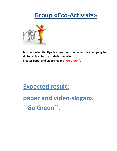## **Group «Eco-Activists»**



- **finds out what the Kyivites have done and what they are going to do for a clean future of their homecity**
- **creates paper and video slogans ``Go Green``.**

### **Expected result:**

## **paper and video-slogans ``Go Green``.**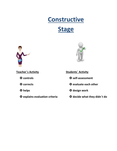# **Constructive**

#### **Stage**



**Teacher`s Activity**

**controls**

**corrects**

**helps**

**explains evaluation criteria**



**Students` Activity**

- **self-assessment**
- **evaluate each other**
- **design work**
- **decide what they didn`t do**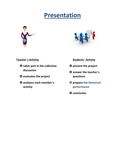## **Presentation**





**Teacher`s Activity**

- **takes part in the collective discussion**
- **evaluates the project**
- **analyzes each member`s activity**
- **Students` Activity**
- **O** present the project
- **answer the teacher`s questions**
- **O** prepare the theatrical **performance**
- **Q** conclusion